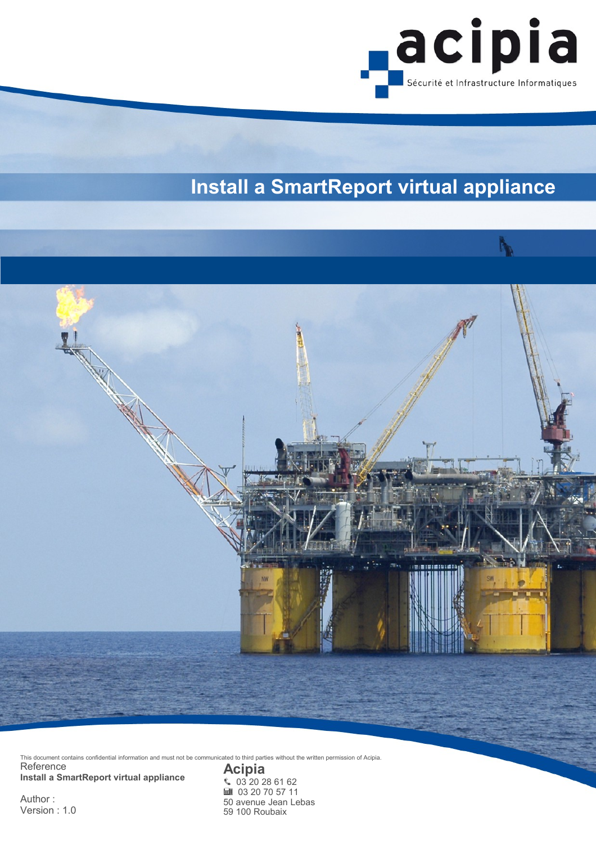

# **Install a SmartReport virtual appliance**



This document contains confidential information and must not be communicated to third parties without the written permission of Acipia.

Reference **Install a SmartReport virtual appliance**

Author : Version : 1.0 **Acipia**  $$03$  20 28 61 62 ■ 03 20 70 57 11 50 avenue Jean Lebas 59 100 Roubaix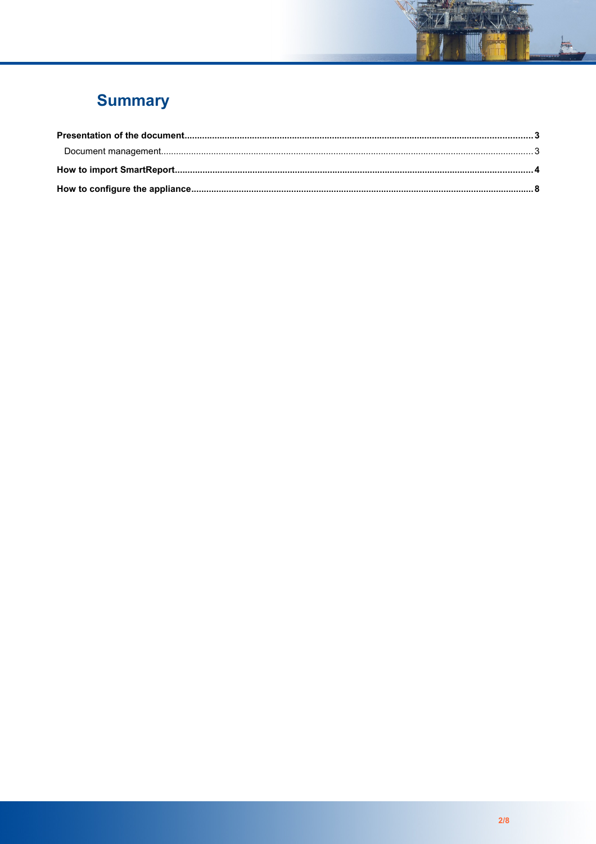# **Summary**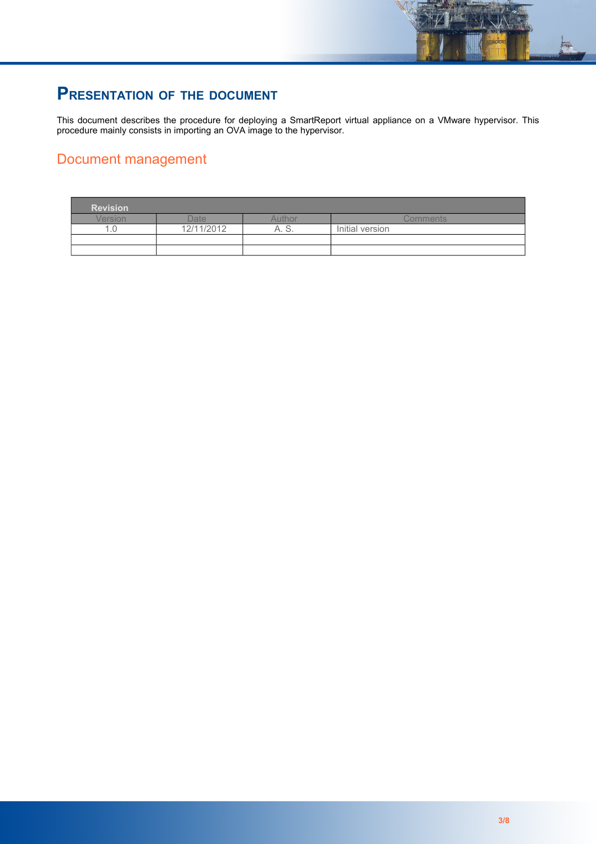# **PRESENTATION OF THE DOCUMENT**

This document describes the procedure for deploying a SmartReport virtual appliance on a VMware hypervisor. This procedure mainly consists in importing an OVA image to the hypervisor.

### Document management

| <b>Revision</b> |            |          |                 |
|-----------------|------------|----------|-----------------|
| <i>lersion</i>  | )ate       | Authol   | Comments.       |
| . .             | 12/11/2012 | Α.<br>U. | Initial version |
|                 |            |          |                 |
|                 |            |          |                 |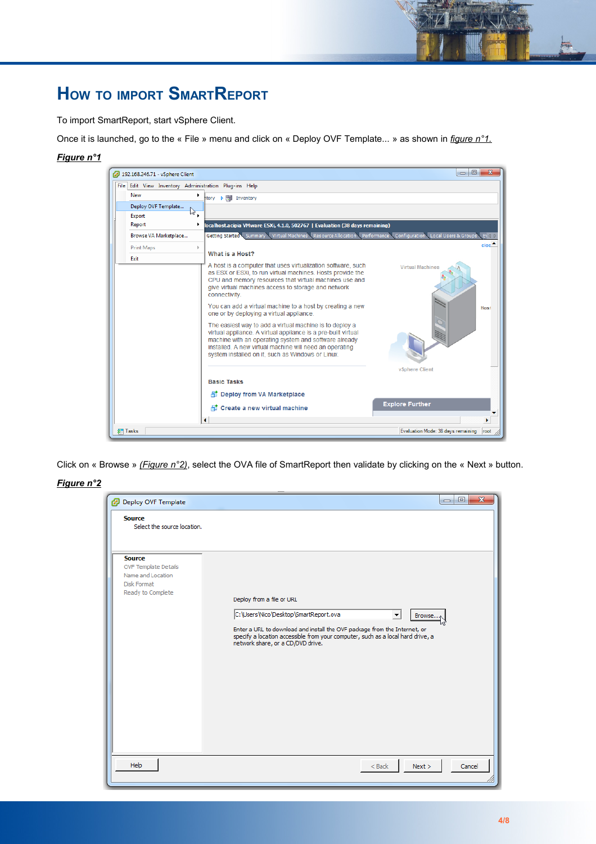# **HOW TO IMPORT SMARTREPORT**

To import SmartReport, start vSphere Client.

Once it is launched, go to the « File » menu and click on « Deploy OVF Template... » as shown in *figure n°1.*

#### *Figure n°1*

| 192.168.246.71 - vSphere Client                       |                                                                                                                                                                                                                                                                                                   | $\Box$<br>$\mathbf{x}$<br>$\blacksquare$       |
|-------------------------------------------------------|---------------------------------------------------------------------------------------------------------------------------------------------------------------------------------------------------------------------------------------------------------------------------------------------------|------------------------------------------------|
| File Edit View Inventory Administration Plug-ins Help |                                                                                                                                                                                                                                                                                                   |                                                |
| New<br>٠                                              | htory <b>▷ Fil</b> Inventory                                                                                                                                                                                                                                                                      |                                                |
| Deploy OVF Template<br>hz                             |                                                                                                                                                                                                                                                                                                   |                                                |
| Export                                                |                                                                                                                                                                                                                                                                                                   |                                                |
| Report<br>▶                                           | localhost.acipia VMware ESXi, 4.1.0, 502767   Evaluation (38 days remaining)                                                                                                                                                                                                                      |                                                |
| Browse VA Marketplace                                 | Getting Started Summary<br>Virtual Machines Resource Allocation Performance                                                                                                                                                                                                                       | Configuration<br>Local Users & Groups<br>$B$ 4 |
| Print Maps                                            | What is a Host?                                                                                                                                                                                                                                                                                   | clos <sup>1</sup>                              |
| Exit                                                  |                                                                                                                                                                                                                                                                                                   |                                                |
|                                                       | A host is a computer that uses virtualization software, such<br>as ESX or ESXi, to run virtual machines. Hosts provide the<br>CPU and memory resources that virtual machines use and<br>give virtual machines access to storage and network<br>connectivity.                                      | <b>Virtual Machines</b>                        |
|                                                       | You can add a virtual machine to a host by creating a new<br>one or by deploying a virtual appliance.                                                                                                                                                                                             | Host                                           |
|                                                       | The easiest way to add a virtual machine is to deploy a<br>virtual appliance. A virtual appliance is a pre-built virtual<br>machine with an operating system and software already<br>installed. A new virtual machine will need an operating<br>system installed on it, such as Windows or Linux. | vSphere Client                                 |
|                                                       | <b>Basic Tasks</b>                                                                                                                                                                                                                                                                                |                                                |
|                                                       | Deploy from VA Marketplace                                                                                                                                                                                                                                                                        |                                                |
|                                                       | 图 Create a new virtual machine                                                                                                                                                                                                                                                                    | <b>Explore Further</b>                         |
|                                                       | ∢                                                                                                                                                                                                                                                                                                 |                                                |
| <b>ST</b> Tasks                                       |                                                                                                                                                                                                                                                                                                   | Evaluation Mode: 38 days remaining<br>root     |

Click on « Browse » *(Figure n°2)*, select the OVA file of SmartReport then validate by clicking on the « Next » button.

#### *Figure n°2*

| Deploy OVF Template                                                                            | $\mathbf{x}$<br>$\Box$<br>$-1$                                                                                                                                                                                                                                                         |
|------------------------------------------------------------------------------------------------|----------------------------------------------------------------------------------------------------------------------------------------------------------------------------------------------------------------------------------------------------------------------------------------|
| <b>Source</b><br>Select the source location.                                                   |                                                                                                                                                                                                                                                                                        |
| <b>Source</b><br>OVF Template Details<br>Name and Location<br>Disk Format<br>Ready to Complete | Deploy from a file or URL<br>C:\Users\Nico\Desktop\SmartReport.ova<br>Browse<br>▼<br>Enter a URL to download and install the OVF package from the Internet, or<br>specify a location accessible from your computer, such as a local hard drive, a<br>network share, or a CD/DVD drive. |
| Help                                                                                           | Next ><br>$<$ Back<br>Cancel                                                                                                                                                                                                                                                           |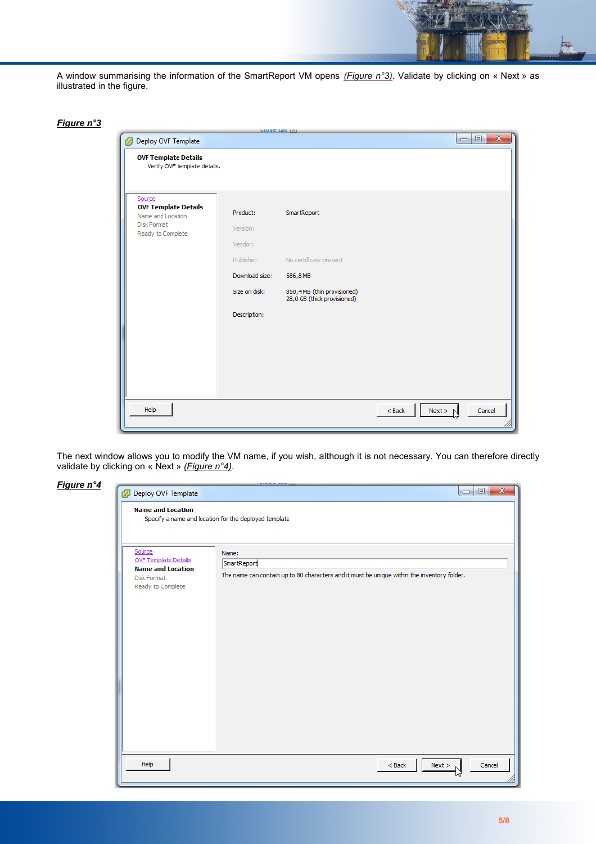A window summarising the information of the SmartReport VM opens *(Figure n°3)*. Validate by clicking on « Next » as illustrated in the figure.

| Fiaure n` |  |
|-----------|--|
|           |  |

| Deploy OVF Template                                                                            | <b>CIUSE IGU  A</b>                             |                                                                        |                    | $\mathbf{x}$<br>$\Box$<br>$\Box$ |
|------------------------------------------------------------------------------------------------|-------------------------------------------------|------------------------------------------------------------------------|--------------------|----------------------------------|
| <b>OVF Template Details</b><br>Verify OVF template details.                                    |                                                 |                                                                        |                    |                                  |
| Source<br><b>OVF Template Details</b><br>Name and Location<br>Disk Format<br>Ready to Complete | Product:<br>Version:<br>Vendor:<br>Publisher:   | SmartReport<br>No certificate present                                  |                    |                                  |
|                                                                                                | Download size:<br>Size on disk:<br>Description: | 586,8 MB<br>850,4 MB (thin provisioned)<br>28,0 GB (thick provisioned) |                    |                                  |
| Help                                                                                           |                                                 |                                                                        | $Back$<br>Next > N | Cancel                           |

The next window allows you to modify the VM name, if you wish, although it is not necessary. You can therefore directly validate by clicking on « Next » *(Figure n°4)*.

| Figure n°4 | Deploy OVF Template                                                                                   | $\mathbf{x}$<br>$\Box$<br>$\Box$                                                                                    |
|------------|-------------------------------------------------------------------------------------------------------|---------------------------------------------------------------------------------------------------------------------|
|            | <b>Name and Location</b>                                                                              | Specify a name and location for the deployed template                                                               |
|            | Source<br><b>OVF Template Details</b><br><b>Name and Location</b><br>Disk Format<br>Ready to Complete | Name:<br>SmartReport<br>The name can contain up to 80 characters and it must be unique within the inventory folder. |
|            | Help                                                                                                  | $<$ Back<br>Cancel<br>Next >                                                                                        |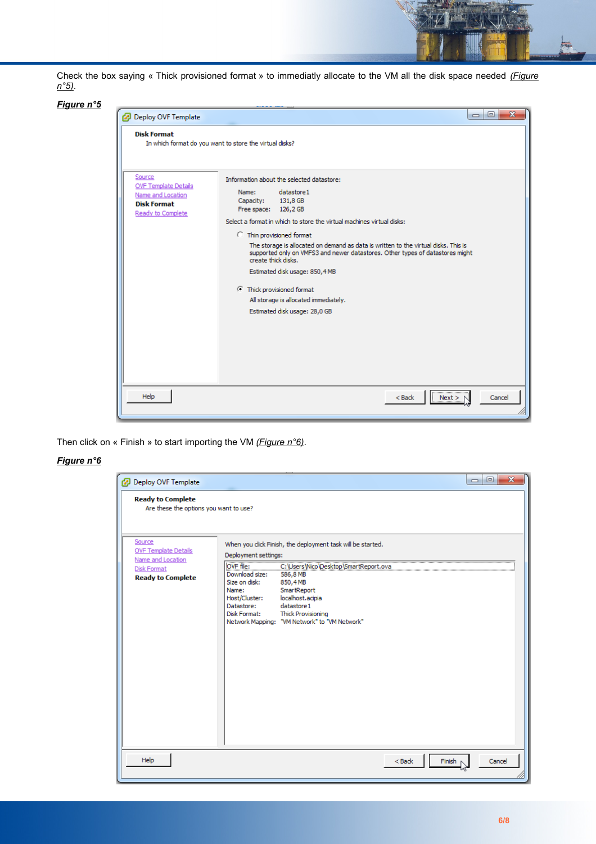Check the box saying « Thick provisioned format » to immediatly allocate to the VM all the disk space needed *(Figure n°5)*.

#### *Figure n°5*

| Deploy OVF Template                                                                                   | $\mathbf{x}$<br>$\Box$<br>$\Box$                                                                                                                                                                                                                                                                                                                                                                                                                                                                                                                                               |
|-------------------------------------------------------------------------------------------------------|--------------------------------------------------------------------------------------------------------------------------------------------------------------------------------------------------------------------------------------------------------------------------------------------------------------------------------------------------------------------------------------------------------------------------------------------------------------------------------------------------------------------------------------------------------------------------------|
| <b>Disk Format</b>                                                                                    | In which format do you want to store the virtual disks?                                                                                                                                                                                                                                                                                                                                                                                                                                                                                                                        |
| Source<br><b>OVF Template Details</b><br>Name and Location<br><b>Disk Format</b><br>Ready to Complete | Information about the selected datastore:<br>datastore1<br>Name:<br>Capacity:<br>131,8 GB<br>Free space: 126,2 GB<br>Select a format in which to store the virtual machines virtual disks:<br><b>C</b> Thin provisioned format<br>The storage is allocated on demand as data is written to the virtual disks. This is<br>supported only on VMFS3 and newer datastores. Other types of datastores might<br>create thick disks.<br>Estimated disk usage: 850,4 MB<br><b>C</b> Thick provisioned format<br>All storage is allocated immediately.<br>Estimated disk usage: 28,0 GB |
| Help                                                                                                  | $<$ Back<br>Cancel<br>Next >                                                                                                                                                                                                                                                                                                                                                                                                                                                                                                                                                   |

Then click on « Finish » to start importing the VM *(Figure n°6)*.

#### *Figure n°6*

| Deploy OVF Template                                                |                                                                                                      |                                                                                                                                                                                             |                    | $\mathbf{x}$<br>$\Box$<br>$\qquad \qquad \Box$ |
|--------------------------------------------------------------------|------------------------------------------------------------------------------------------------------|---------------------------------------------------------------------------------------------------------------------------------------------------------------------------------------------|--------------------|------------------------------------------------|
| <b>Ready to Complete</b><br>Are these the options you want to use? |                                                                                                      |                                                                                                                                                                                             |                    |                                                |
| Source<br><b>OVF Template Details</b><br>Name and Location         | Deployment settings:                                                                                 | When you click Finish, the deployment task will be started.                                                                                                                                 |                    |                                                |
| <b>Disk Format</b><br><b>Ready to Complete</b>                     | OVF file:<br>Download size:<br>Size on disk:<br>Name:<br>Host/Cluster:<br>Datastore:<br>Disk Format: | C:\Users\Nico\Desktop\SmartReport.ova<br>586,8 MB<br>850,4MB<br>SmartReport<br>localhost.acipia<br>datastore1<br><b>Thick Provisioning</b><br>Network Mapping: "VM Network" to "VM Network" |                    |                                                |
| Help                                                               |                                                                                                      |                                                                                                                                                                                             | $<$ Back<br>Finish | Cancel                                         |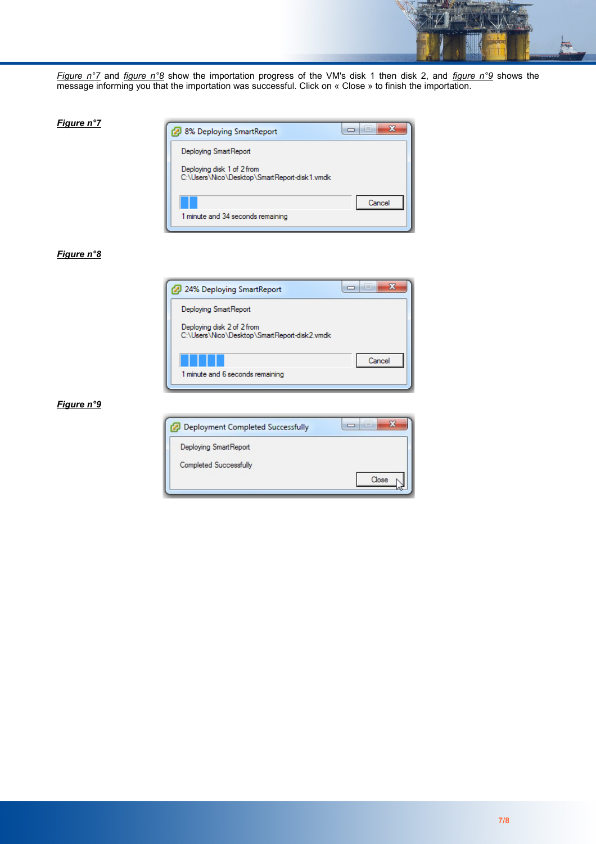

*Figure n°7* and *figure n°8* show the importation progress of the VM's disk 1 then disk 2, and *figure n°9* shows the message informing you that the importation was successful. Click on « Close » to finish the importation.



#### *Figure n°8*

*Figure n°7*



#### *Figure n°9*

| Deployment Completed Successfully | $\Box$ |
|-----------------------------------|--------|
| Deploying SmartReport             |        |
| <b>Completed Successfully</b>     |        |
|                                   | Close  |